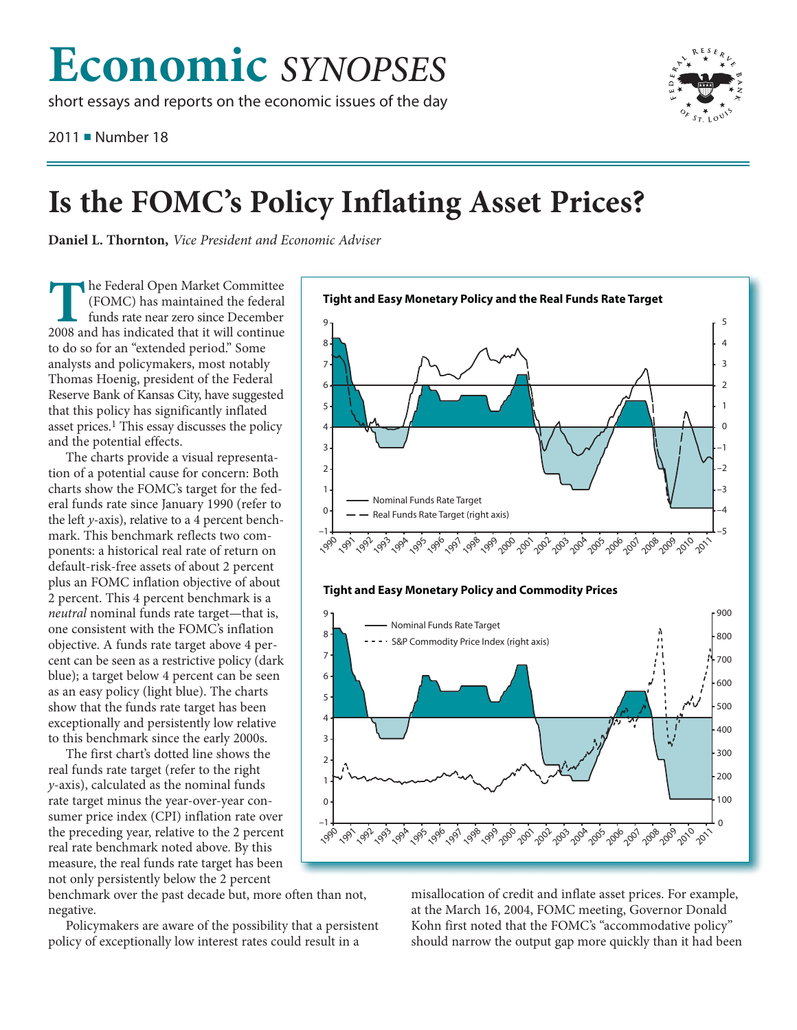## **Economic** *SYNOPSES*

short essays and reports on the economic issues of the day

2011 ■ Number 18



## **Is the FOMC's President and Economic Adviser**<br>**Is the Fourier President and Economic Adviser**

**Daniel L. Thornton,** *Vice President and Economic Adviser*

**The Federal Open Market Committee (FOMC) has maintained the federal funds rate near zero since December 2008 and has indicated that it will continue to do so for an "extended period." Some analysts and policymakers, most** (FOMC) has maintained the federal funds rate near zero since December 2008 and has indicated that it will continue to do so for an "extended period." Some Thomas Hoenig, president of the Federal Reserve Bank of Kansas City, have suggested that this policy has significantly inflated asset prices.<sup>1</sup> This essay discusses the policy and the potential effects.

The charts provide a visual representation of a potential cause for concern: Both charts show the FOMC's target for the federal funds rate since January 1990 (refer to the left *y*-axis), relative to a 4 percent benchmark. This benchmark reflects two components: a historical real rate of return on default-risk-free assets of about 2 percent plus an FOMC inflation objective of about 2 percent. This 4 percent benchmark is a *neutral* nominal funds rate target—that is, one consistent with the FOMC's inflation objective. A funds rate target above 4 percent can be seen as a restrictive policy (dark blue); a target below 4 percent can be seen as an easy policy (light blue). The charts show that the funds rate target has been exceptionally and persistently low relative to this benchmark since the early 2000s.

The first chart's dotted line shows the real funds rate target (refer to the right *y*-axis), calculated as the nominal funds rate target minus the year-over-year consumer price index (CPI) inflation rate over the preceding year, relative to the 2 percent real rate benchmark noted above. By this measure, the real funds rate target has been not only persistently below the 2 percent

benchmark over the past decade but, more often than not, negative.

Policymakers are aware of the possibility that a persistent policy of exceptionally low interest rates could result in a



misallocation of credit and inflate asset prices. For example, at the March 16, 2004, FOMC meeting, Governor Donald Kohn first noted that the FOMC's "accommodative policy" should narrow the output gap more quickly than it had been